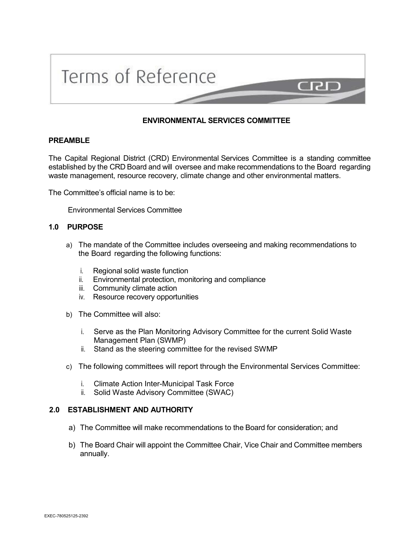

# **ENVIRONMENTAL SERVICES COMMITTEE**

## **PREAMBLE**

The Capital Regional District (CRD) Environmental Services Committee is a standing committee established by the CRD Board and will oversee and make recommendations to the Board regarding waste management, resource recovery, climate change and other environmental matters.

The Committee's official name is to be:

Environmental Services Committee

## **1.0 PURPOSE**

- a) The mandate of the Committee includes overseeing and making recommendations to the Board regarding the following functions:
	- i. Regional solid waste function
	- ii. Environmental protection, monitoring and compliance
	- iii. Community climate action
	- iv. Resource recovery opportunities
- b) The Committee will also:
	- i. Serve as the Plan Monitoring Advisory Committee for the current Solid Waste Management Plan (SWMP)
	- ii. Stand as the steering committee for the revised SWMP
- c) The following committees will report through the Environmental Services Committee:
	- i. Climate Action Inter-Municipal Task Force
	- ii. Solid Waste Advisory Committee (SWAC)

## **2.0 ESTABLISHMENT AND AUTHORITY**

- a) The Committee will make recommendations to the Board for consideration; and
- b) The Board Chair will appoint the Committee Chair, Vice Chair and Committee members annually.